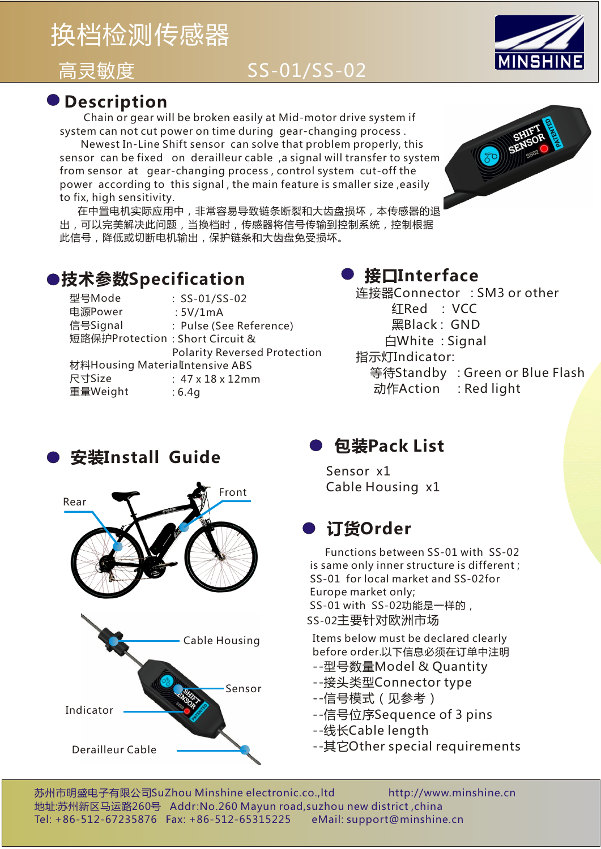# 换档检测传感器

# 高灵敏度 SS-01/SS-02



#### **Description**

 Chain or gear will be broken easily at Mid-motor drive system if system can not cut power on time during gear-changing process .

 Newest In-Line Shift sensor can solve that problem properly, this sensor can be fixed on derailleur cable ,a signal will transfer to system from sensor at gear-changing process , control system cut-off the power according to this signal , the main feature is smaller size ,easily to fix, high sensitivity.

 在中置电机实际应用中,非常容易导致链条断裂和大齿盘损坏,本传感器的退 出,可以完美解决此问题,当换档时,传感器将信号传输到控制系统,控制根据 此信号,降低或切断电机输出,保护链条和大齿盘免受损坏。



#### **技术参数Specification**

| 型号Mode                          | $:$ SS-01/SS-02                     |
|---------------------------------|-------------------------------------|
| 电源Power                         | :5V/1mA                             |
| 信号Signal                        | : Pulse (See Reference)             |
| 短路保护Protection: Short Circuit & |                                     |
|                                 | <b>Polarity Reversed Protection</b> |
| 材料Housing MaterialIntensive ABS |                                     |
| 尺寸Size                          | $: 47 \times 18 \times 12$ mm       |
| 重量Weight                        | :6.4q                               |

### **接口Interface**

连接器Connector : SM3 or other 红Red : VCC 黑Black : GND 白White : Signal 指示灯Indicator: 等待Standby : Green or Blue Flash 动作Action : Red light





Ļ

## **包装Pack List**

Sensor x1 Cable Housing x1

## **订货Order**

 Functions between SS-01 with SS-02 is same only inner structure is different ; SS-01 for local market and SS-02for Europe market only; SS-01 with SS-02功能是一样的,

SS-02主要针对欧洲市场

Items below must be declared clearly before order.以下信息必须在订单中注明

- --型号数量Model & Quantity
- --接头类型Connector type
- --信号模式(见参考)
- --信号位序Sequence of 3 pins
- --线长Cable length
- --其它Other special requirements

苏州市明盛电子有限公司SuZhou Minshine electronic.co.,ltd http://www.minshine.cn 地址:苏州新区马运路260号 Addr:No.260 Mayun road,suzhou new district ,china Tel: +86-512-67235876 Fax: +86-512-65315225 eMail: support@minshine.cn